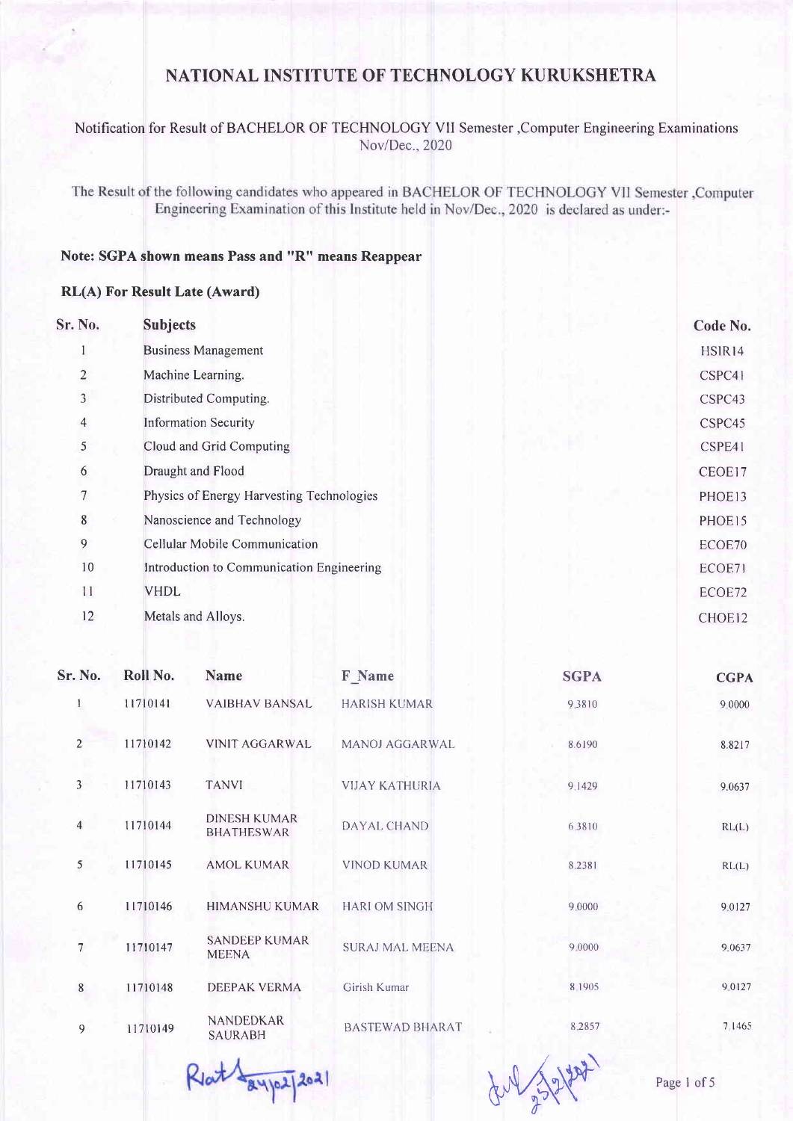### Notification for Result of BACHELOR OF TECHNOLOGY VII Semester ,Computer Engineering Examinations Nov/Dec.,2020

The Result of the following candidates who appeared in BACHELOR OF TECHNOLOGY VII Semester ,Computer Engineering Examination of this Institute held in Nov/Dec., 2020 is declared as under:-

### Note: SGPA shown means Pass and "R" means Reappear

#### RL(A) For Result Late (Award)

| Sr. No.        | <b>Subjects</b>                           | Code No.           |
|----------------|-------------------------------------------|--------------------|
|                | <b>Business Management</b>                | HSIR14             |
| $\overline{2}$ | Machine Learning.                         | CSPC41             |
| 3              | Distributed Computing.                    | CSPC43             |
| $\overline{4}$ | <b>Information Security</b>               | CSPC45             |
| 5              | Cloud and Grid Computing                  | CSPE41             |
| 6              | Draught and Flood                         | CEOE17             |
| 7              | Physics of Energy Harvesting Technologies | PHOE13             |
| $\bf 8$        | Nanoscience and Technology                | PHOE15             |
| 9              | Cellular Mobile Communication             | ECOE70             |
| 10             | Introduction to Communication Engineering | ECOE71             |
| 11             | <b>VHDL</b>                               | ECOE72             |
| 12             | Metals and Alloys.                        | CHOE <sub>12</sub> |
|                |                                           |                    |

| Sr. No.        | Roll No. | Name                                     | <b>F</b> Name          | <b>SGPA</b> | <b>CGPA</b> |
|----------------|----------|------------------------------------------|------------------------|-------------|-------------|
|                | 11710141 | <b>VAIBHAV BANSAL</b>                    | <b>HARISH KUMAR</b>    | 9.3810      | 9 0000      |
| $\overline{2}$ | 11710142 | <b>VINIT AGGARWAL</b>                    | <b>MANOJ AGGARWAL</b>  | 8.6190      | 8.8217      |
| 3              | 11710143 | <b>TANVI</b>                             | <b>VIJAY KATHURIA</b>  | 9.1429      | 9.0637      |
| $\overline{4}$ | 11710144 | <b>DINESH KUMAR</b><br><b>BHATHESWAR</b> | DAYAL CHAND            | 6,3810      | RL(L)       |
| $\mathfrak{S}$ | 11710145 | <b>AMOL KUMAR</b>                        | <b>VINOD KUMAR</b>     | 8.2381      | RL(L)       |
| 6              | 11710146 | <b>HIMANSHU KUMAR</b>                    | <b>HARIOM SINGH</b>    | 9,0000      | 9.0127      |
| 7              | 11710147 | <b>SANDEEP KUMAR</b><br><b>MEENA</b>     | <b>SURAJ MAL MEENA</b> | 9.0000      | 9.0637      |
| 8              | 11710148 | <b>DEEPAK VERMA</b>                      | Girish Kumar           | 8 1905      | 9.0127      |
| 9              | 11710149 | <b>NANDEDKAR</b><br><b>SAURABH</b>       | <b>BASTEWAD BHARAT</b> | 8.2857      | 7.1465      |

Rlat Layps 2021

 $\frac{1}{2}$  Page 1 of 5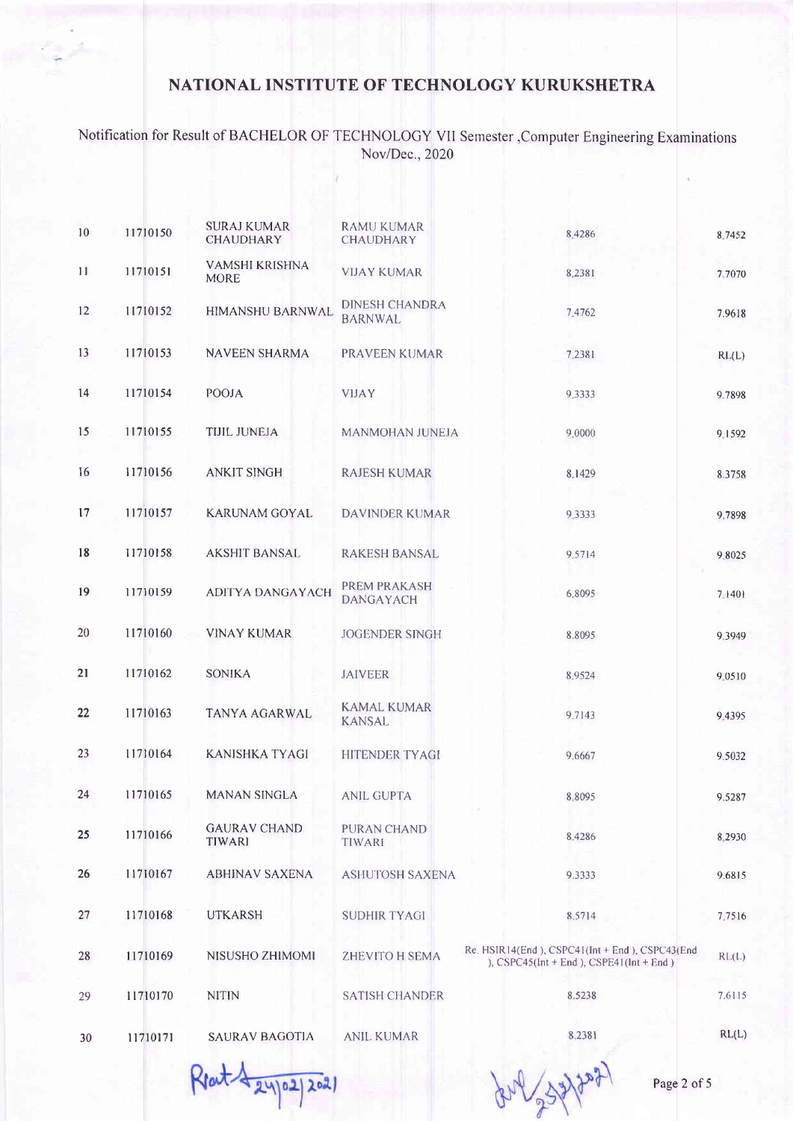## Notification for Result of BACHELOR OF TECHNOLOGY Vtl Semester,Computer Engineering Examinations Nov/Dec.,2020

| 10 | 11710150 | <b>SURAJ KUMAR</b><br><b>CHAUDHARY</b> | <b>RAMU KUMAR</b><br><b>CHAUDHARY</b>   | 8,4286                                                                                         | 8.7452 |
|----|----------|----------------------------------------|-----------------------------------------|------------------------------------------------------------------------------------------------|--------|
| 11 | 11710151 | VAMSHI KRISHNA<br><b>MORE</b>          | <b>VIJAY KUMAR</b>                      | 8.2381                                                                                         | 7.7070 |
| 12 | 11710152 | HIMANSHU BARNWAL                       | <b>DINESH CHANDRA</b><br><b>BARNWAL</b> | 7.4762                                                                                         | 7.9618 |
| 13 | 11710153 | <b>NAVEEN SHARMA</b>                   | PRAVEEN KUMAR                           | 7.2381                                                                                         | RL(L)  |
| 14 | 11710154 | <b>POOJA</b>                           | <b>VIJAY</b>                            | 9.3333                                                                                         | 9.7898 |
| 15 | 11710155 | <b>TIJIL JUNEJA</b>                    | MANMOHAN JUNEJA                         | 9,0000                                                                                         | 9 1592 |
| 16 | 11710156 | <b>ANKIT SINGH</b>                     | <b>RAJESH KUMAR</b>                     | 8.1429                                                                                         | 8.3758 |
| 17 | 11710157 | KARUNAM GOYAL                          | <b>DAVINDER KUMAR</b>                   | 9.3333                                                                                         | 9.7898 |
| 18 | 11710158 | <b>AKSHIT BANSAL</b>                   | <b>RAKESH BANSAL</b>                    | 9.5714                                                                                         | 9.8025 |
| 19 | 11710159 | <b>ADITYA DANGAYACH</b>                | PREM PRAKASH<br><b>DANGAYACH</b>        | 6.8095                                                                                         | 7 1401 |
| 20 | 11710160 | <b>VINAY KUMAR</b>                     | <b>JOGENDER SINGH</b>                   | 8.8095                                                                                         | 9.3949 |
| 21 | 11710162 | <b>SONIKA</b>                          | <b>JAIVEER</b>                          | 8.9524                                                                                         | 9.0510 |
| 22 | 11710163 | TANYA AGARWAL                          | <b>KAMAL KUMAR</b><br><b>KANSAL</b>     | 9.7143                                                                                         | 94395  |
| 23 | 11710164 | <b>KANISHKA TYAGI</b>                  | HITENDER TYAGI                          | 9.6667                                                                                         | 9.5032 |
| 24 | 11710165 | <b>MANAN SINGLA</b>                    | <b>ANIL GUPTA</b>                       | 8.8095                                                                                         | 9.5287 |
| 25 | 11710166 | <b>GAURAV CHAND</b><br>TIWARI          | <b>PURAN CHAND</b><br>TIWARI            | 8.4286                                                                                         | 8.2930 |
| 26 | 11710167 | <b>ABHINAV SAXENA</b>                  | <b>ASHUTOSH SAXENA</b>                  | 9.3333                                                                                         | 9.6815 |
| 27 | 11710168 | <b>UTKARSH</b>                         | <b>SUDHIR TYAGI</b>                     | 8,5714                                                                                         | 7.7516 |
| 28 | 11710169 | NISUSHO ZHIMOMI                        | <b>ZHEVITO H SEMA</b>                   | Re. HSIR14(End), CSPC41(Int + End), CSPC43(End<br>), $CSPC45(int + End)$ , $CSPE41(int + End)$ | RL(L)  |
| 29 | 11710170 | <b>NITIN</b>                           | <b>SATISH CHANDER</b>                   | 8.5238                                                                                         | 7.6115 |
| 30 | 11710171 | <b>SAURAV BAGOTIA</b>                  | ANIL KUMAR                              | 8.2381                                                                                         | RL(L)  |
|    |          |                                        |                                         |                                                                                                |        |

 $24022202$ 

Page 2 of 5

Br N2SP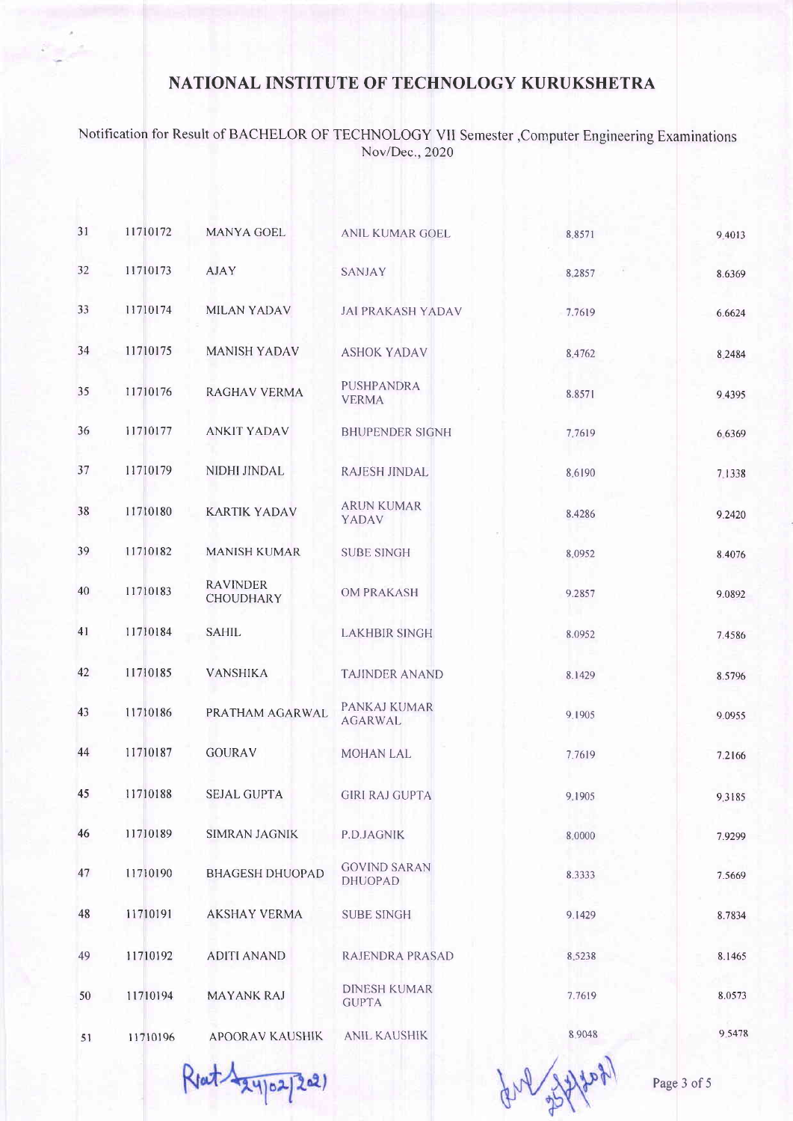Notification for Result of BACHELOR OF TECHNOLOGY VII Semester ,Computer Engineering Examinations Nov/Dec.,2020

| 31 | 11710172 | MANYA GOEL                          | <b>ANIL KUMAR GOEL</b>                | 8.8571 | 9.4013    |
|----|----------|-------------------------------------|---------------------------------------|--------|-----------|
| 32 | 11710173 | <b>AJAY</b>                         | SANJAY                                | 8,2857 | 8.6369    |
| 33 | 11710174 | <b>MILAN YADAV</b>                  | <b>JAI PRAKASH YADAV</b>              | 7.7619 | 6.6624    |
| 34 | 11710175 | <b>MANISH YADAV</b>                 | <b>ASHOK YADAV</b>                    | 8.4762 | 8.2484    |
| 35 | 11710176 | <b>RAGHAV VERMA</b>                 | <b>PUSHPANDRA</b><br><b>VERMA</b>     | 8.8571 | 9.4395    |
| 36 | 11710177 | <b>ANKIT YADAV</b>                  | <b>BHUPENDER SIGNH</b>                | 7.7619 | 6 6 3 6 9 |
| 37 | 11710179 | NIDHI JINDAL                        | <b>RAJESH JINDAL</b>                  | 8.6190 | 7.1338    |
| 38 | 11710180 | <b>KARTIK YADAV</b>                 | <b>ARUN KUMAR</b><br>YADAV            | 8.4286 | 9.2420    |
| 39 | 11710182 | <b>MANISH KUMAR</b>                 | <b>SUBE SINGH</b>                     | 8.0952 | 8.4076    |
| 40 | 11710183 | <b>RAVINDER</b><br><b>CHOUDHARY</b> | <b>OM PRAKASH</b>                     | 9.2857 | 9.0892    |
| 41 | 11710184 | <b>SAHIL</b>                        | <b>LAKHBIR SINGH</b>                  | 8.0952 | 7.4586    |
| 42 | 11710185 | <b>VANSHIKA</b>                     | <b>TAJINDER ANAND</b>                 | 8.1429 | 8.5796    |
| 43 | 11710186 | PRATHAM AGARWAL                     | PANKAJ KUMAR<br><b>AGARWAL</b>        | 9.1905 | 9.0955    |
| 44 | 11710187 | <b>GOURAV</b>                       | <b>MOHAN LAL</b>                      | 7.7619 | 7.2166    |
| 45 | 11710188 | <b>SEJAL GUPTA</b>                  | <b>GIRI RAJ GUPTA</b>                 | 9.1905 | 9.3185    |
| 46 | 11710189 | <b>SIMRAN JAGNIK</b>                | P.D.JAGNIK                            | 8,0000 | 7.9299    |
| 47 | 11710190 | <b>BHAGESH DHUOPAD</b>              | <b>GOVIND SARAN</b><br><b>DHUOPAD</b> | 8.3333 | 7.5669    |
| 48 | 11710191 | <b>AKSHAY VERMA</b>                 | <b>SUBE SINGH</b>                     | 9.1429 | 8.7834    |
| 49 | 11710192 | <b>ADITI ANAND</b>                  | RAJENDRA PRASAD                       | 8.5238 | 8.1465    |
| 50 | 11710194 | <b>MAYANK RAJ</b>                   | <b>DINESH KUMAR</b><br><b>GUPTA</b>   | 7.7619 | 8.0573    |
| 51 | 11710196 | <b>APOORAV KAUSHIK</b>              | <b>ANIL KAUSHIK</b>                   | 8.9048 | 9.5478    |
|    |          |                                     |                                       |        |           |

Reat 124/02/2021

Page 3 of 5

gry system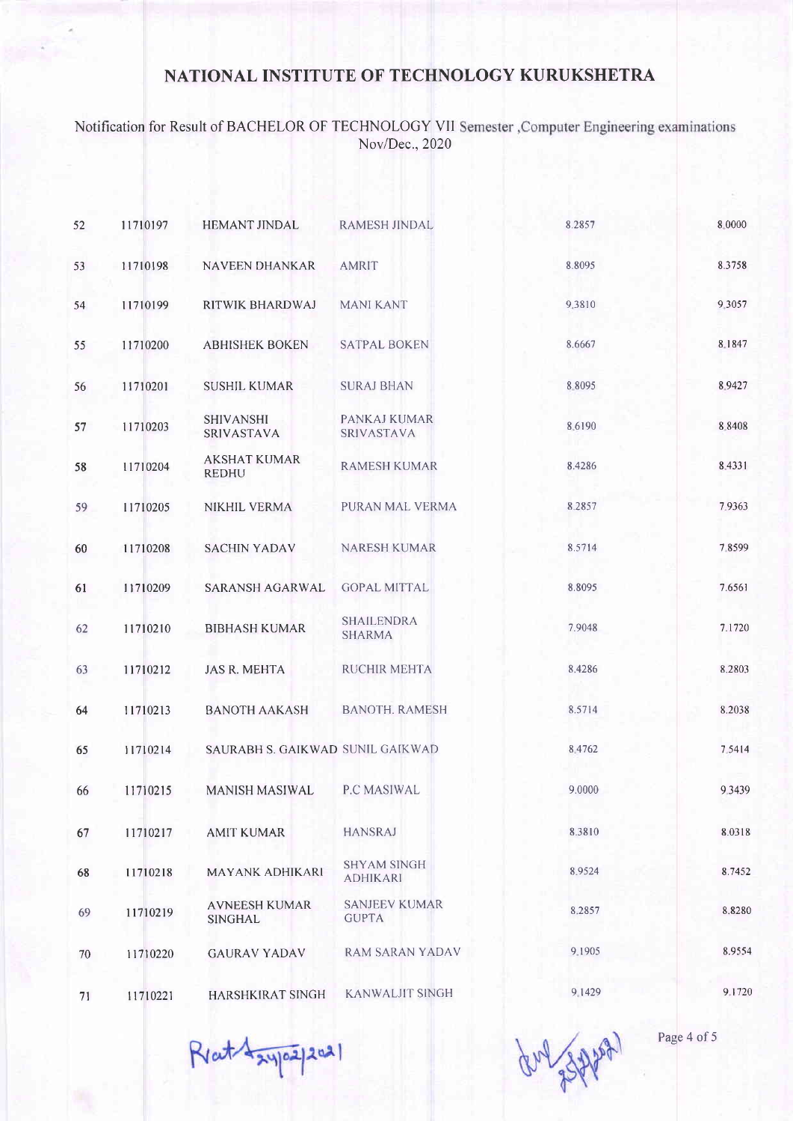#### Notification for Result of BACHELOR OF TECHNOLOGY VII Nov/Dec.,2020

| 52 | 11710197 | <b>HEMANT JINDAL</b>                  | <b>RAMESH JINDAL</b>                  | 8.2857 | 8.0000 |
|----|----------|---------------------------------------|---------------------------------------|--------|--------|
| 53 | 11710198 | <b>NAVEEN DHANKAR</b>                 | <b>AMRIT</b>                          | 8.8095 | 8.3758 |
| 54 | 11710199 | RITWIK BHARDWAJ                       | <b>MANI KANT</b>                      | 9.3810 | 9.3057 |
| 55 | 11710200 | <b>ABHISHEK BOKEN</b>                 | <b>SATPAL BOKEN</b>                   | 8.6667 | 8.1847 |
| 56 | 11710201 | <b>SUSHIL KUMAR</b>                   | <b>SURAJ BHAN</b>                     | 8.8095 | 8.9427 |
| 57 | 11710203 | <b>SHIVANSHI</b><br><b>SRIVASTAVA</b> | PANKAJ KUMAR<br>SRIVASTAVA            | 8.6190 | 8.8408 |
| 58 | 11710204 | <b>AKSHAT KUMAR</b><br><b>REDHU</b>   | <b>RAMESH KUMAR</b>                   | 8.4286 | 8.4331 |
| 59 | 11710205 | <b>NIKHIL VERMA</b>                   | PURAN MAL VERMA                       | 8.2857 | 7.9363 |
| 60 | 11710208 | <b>SACHIN YADAV</b>                   | NARESH KUMAR                          | 8.5714 | 7.8599 |
| 61 | 11710209 | <b>SARANSH AGARWAL</b>                | <b>GOPAL MITTAL</b>                   | 8.8095 | 7.6561 |
| 62 | 11710210 | <b>BIBHASH KUMAR</b>                  | <b>SHAILENDRA</b><br><b>SHARMA</b>    | 7.9048 | 7.1720 |
| 63 | 11710212 | <b>JAS R. MEHTA</b>                   | <b>RUCHIR MEHTA</b>                   | 8,4286 | 8.2803 |
| 64 | 11710213 | <b>BANOTH AAKASH</b>                  | <b>BANOTH. RAMESH</b>                 | 8.5714 | 8.2038 |
| 65 | 11710214 | SAURABH S. GAIKWAD SUNIL GAIKWAD      |                                       | 8.4762 | 7.5414 |
| 66 | 11710215 | <b>MANISH MASIWAL</b>                 | P.C MASIWAL                           | 9.0000 | 9.3439 |
| 67 | 11710217 | <b>AMIT KUMAR</b>                     | <b>HANSRAJ</b>                        | 8.3810 | 8.0318 |
| 68 | 11710218 | MAYANK ADHIKARI                       | <b>SHYAM SINGH</b><br><b>ADHIKARI</b> | 8.9524 | 8.7452 |
| 69 | 11710219 | <b>AVNEESH KUMAR</b><br>SINGHAL       | <b>SANJEEV KUMAR</b><br><b>GUPTA</b>  | 8.2857 | 8.8280 |
| 70 | 11710220 | <b>GAURAV YADAV</b>                   | <b>RAM SARAN YADAV</b>                | 9.1905 | 8.9554 |
| 71 | 11710221 | HARSHKIRAT SINGH                      | <b>KANWALJIT SINGH</b>                | 9.1429 | 9.1720 |

Rent Laypapal

gry 3322021

Page 4 of 5